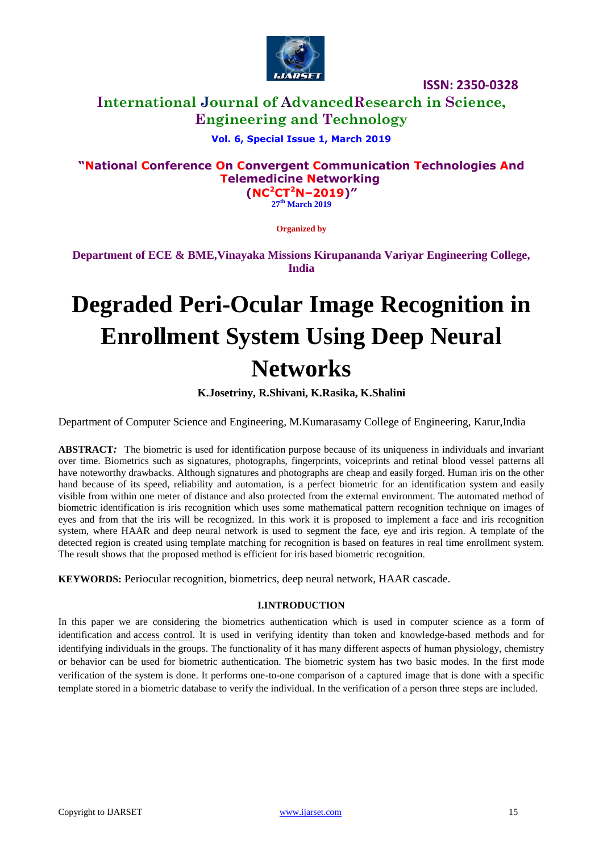

# **International Journal of AdvancedResearch in Science, Engineering and Technology**

### **Vol. 6, Special Issue 1, March 2019**

# **"National Conference On Convergent Communication Technologies And Telemedicine Networking**

**(NC<sup>2</sup>CT<sup>2</sup>N–2019)" 27 th March 2019**

**Organized by**

**Department of ECE & BME,Vinayaka Missions Kirupananda Variyar Engineering College, India**

# **Degraded Peri-Ocular Image Recognition in Enrollment System Using Deep Neural Networks**

**K.Josetriny, R.Shivani, K.Rasika, K.Shalini**

Department of Computer Science and Engineering, M.Kumarasamy College of Engineering, Karur,India

**ABSTRACT***:* The biometric is used for identification purpose because of its uniqueness in individuals and invariant over time. Biometrics such as signatures, photographs, fingerprints, voiceprints and retinal blood vessel patterns all have noteworthy drawbacks. Although signatures and photographs are cheap and easily forged. Human iris on the other hand because of its speed, reliability and automation, is a perfect biometric for an identification system and easily visible from within one meter of distance and also protected from the external environment. The automated method of biometric identification is iris recognition which uses some mathematical pattern recognition technique on images of eyes and from that the iris will be recognized. In this work it is proposed to implement a face and iris recognition system, where HAAR and deep neural network is used to segment the face, eye and iris region. A template of the detected region is created using template matching for recognition is based on features in real time enrollment system. The result shows that the proposed method is efficient for iris based biometric recognition.

**KEYWORDS:** Periocular recognition, biometrics, deep neural network, HAAR cascade.

#### **I.INTRODUCTION**

In this paper we are considering the biometrics authentication which is used in computer science as a form of identification and **access control**. It is used in verifying identity than token and knowledge-based methods and for identifying individuals in the groups. The functionality of it has many different aspects of human physiology, chemistry or behavior can be used for biometric authentication. The biometric system has two basic modes. In the first mode verification of the system is done. It performs one-to-one comparison of a captured image that is done with a specific template stored in a biometric database to verify the individual. In the verification of a person three steps are included.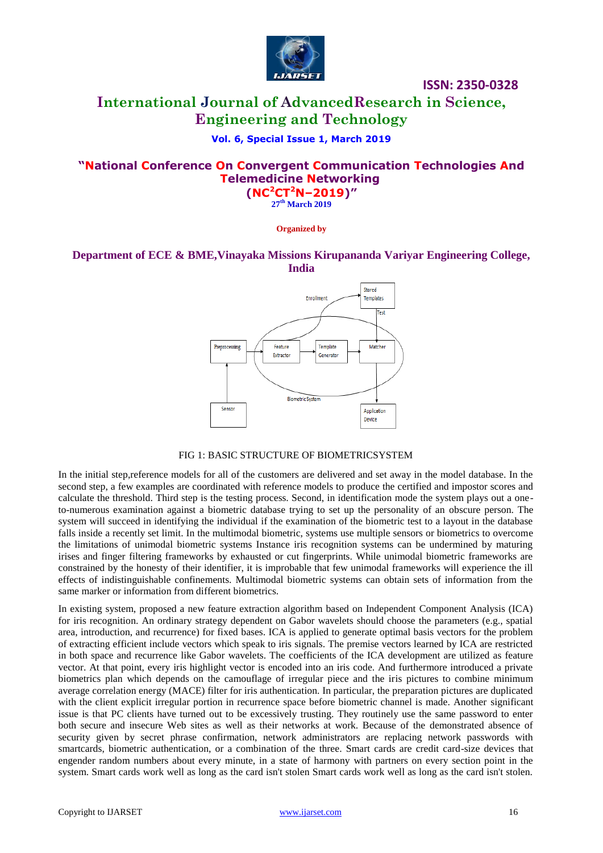

# **International Journal of AdvancedResearch in Science, Engineering and Technology**

### **Vol. 6, Special Issue 1, March 2019**

# **"National Conference On Convergent Communication Technologies And Telemedicine Networking**

**(NC<sup>2</sup>CT<sup>2</sup>N–2019)" 27 th March 2019**

**Organized by**

### **Department of ECE & BME,Vinayaka Missions Kirupananda Variyar Engineering College, India**



#### FIG 1: BASIC STRUCTURE OF BIOMETRICSYSTEM

In the initial step,reference models for all of the customers are delivered and set away in the model database. In the second step, a few examples are coordinated with reference models to produce the certified and impostor scores and calculate the threshold. Third step is the testing process. Second, in identification mode the system plays out a oneto-numerous examination against a biometric database trying to set up the personality of an obscure person. The system will succeed in identifying the individual if the examination of the biometric test to a layout in the database falls inside a recently set limit. In the multimodal biometric, systems use multiple sensors or biometrics to overcome the limitations of unimodal biometric systems Instance iris recognition systems can be undermined by maturing irises and finger filtering frameworks by exhausted or cut fingerprints. While unimodal biometric frameworks are constrained by the honesty of their identifier, it is improbable that few unimodal frameworks will experience the ill effects of indistinguishable confinements. Multimodal biometric systems can obtain sets of information from the same marker or information from different biometrics.

In existing system, proposed a new feature extraction algorithm based on Independent Component Analysis (ICA) for iris recognition. An ordinary strategy dependent on Gabor wavelets should choose the parameters (e.g., spatial area, introduction, and recurrence) for fixed bases. ICA is applied to generate optimal basis vectors for the problem of extracting efficient include vectors which speak to iris signals. The premise vectors learned by ICA are restricted in both space and recurrence like Gabor wavelets. The coefficients of the ICA development are utilized as feature vector. At that point, every iris highlight vector is encoded into an iris code. And furthermore introduced a private biometrics plan which depends on the camouflage of irregular piece and the iris pictures to combine minimum average correlation energy (MACE) filter for iris authentication. In particular, the preparation pictures are duplicated with the client explicit irregular portion in recurrence space before biometric channel is made. Another significant issue is that PC clients have turned out to be excessively trusting. They routinely use the same password to enter both secure and insecure Web sites as well as their networks at work. Because of the demonstrated absence of security given by secret phrase confirmation, network administrators are replacing network passwords with smartcards, biometric authentication, or a combination of the three. Smart cards are credit card-size devices that engender random numbers about every minute, in a state of harmony with partners on every section point in the system. Smart cards work well as long as the card isn't stolen Smart cards work well as long as the card isn't stolen.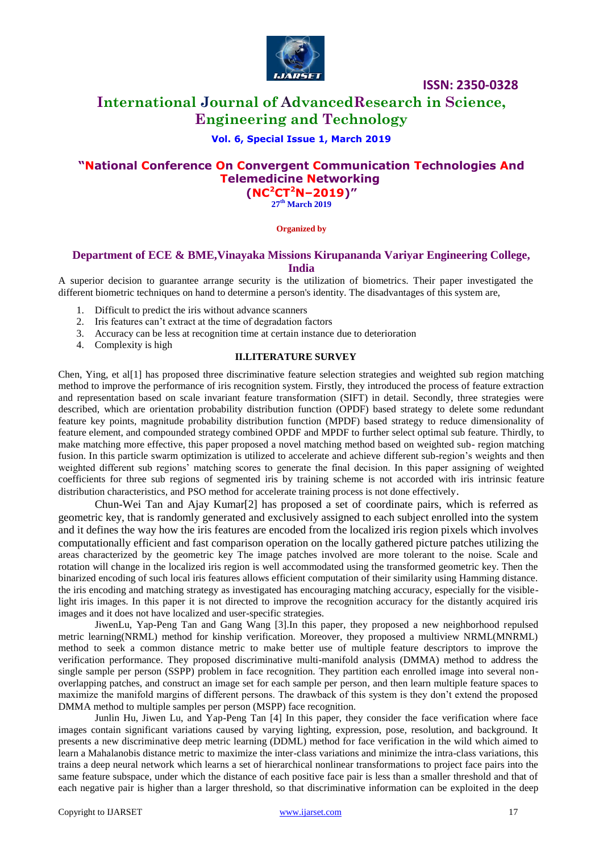

# **International Journal of AdvancedResearch in Science, Engineering and Technology**

#### **Vol. 6, Special Issue 1, March 2019**

# **"National Conference On Convergent Communication Technologies And Telemedicine Networking**

**(NC<sup>2</sup>CT<sup>2</sup>N–2019)" 27 th March 2019**

#### **Organized by**

#### **Department of ECE & BME,Vinayaka Missions Kirupananda Variyar Engineering College, India**

A superior decision to guarantee arrange security is the utilization of biometrics. Their paper investigated the different biometric techniques on hand to determine a person's identity. The disadvantages of this system are,

- 1. Difficult to predict the iris without advance scanners
- 2. Iris features can't extract at the time of degradation factors
- 3. Accuracy can be less at recognition time at certain instance due to deterioration
- 4. Complexity is high

#### **II.LITERATURE SURVEY**

Chen, Ying, et al[1] has proposed three discriminative feature selection strategies and weighted sub region matching method to improve the performance of iris recognition system. Firstly, they introduced the process of feature extraction and representation based on scale invariant feature transformation (SIFT) in detail. Secondly, three strategies were described, which are orientation probability distribution function (OPDF) based strategy to delete some redundant feature key points, magnitude probability distribution function (MPDF) based strategy to reduce dimensionality of feature element, and compounded strategy combined OPDF and MPDF to further select optimal sub feature. Thirdly, to make matching more effective, this paper proposed a novel matching method based on weighted sub- region matching fusion. In this particle swarm optimization is utilized to accelerate and achieve different sub-region's weights and then weighted different sub regions' matching scores to generate the final decision. In this paper assigning of weighted coefficients for three sub regions of segmented iris by training scheme is not accorded with iris intrinsic feature distribution characteristics, and PSO method for accelerate training process is not done effectively.

Chun-Wei Tan and Ajay Kumar[2] has proposed a set of coordinate pairs, which is referred as geometric key, that is randomly generated and exclusively assigned to each subject enrolled into the system and it defines the way how the iris features are encoded from the localized iris region pixels which involves computationally efficient and fast comparison operation on the locally gathered picture patches utilizing the areas characterized by the geometric key The image patches involved are more tolerant to the noise. Scale and rotation will change in the localized iris region is well accommodated using the transformed geometric key. Then the binarized encoding of such local iris features allows efficient computation of their similarity using Hamming distance. the iris encoding and matching strategy as investigated has encouraging matching accuracy, especially for the visiblelight iris images. In this paper it is not directed to improve the recognition accuracy for the distantly acquired iris images and it does not have localized and user-specific strategies.

JiwenLu, Yap-Peng Tan and Gang Wang [3].In this paper, they proposed a new neighborhood repulsed metric learning(NRML) method for kinship verification. Moreover, they proposed a multiview NRML(MNRML) method to seek a common distance metric to make better use of multiple feature descriptors to improve the verification performance. They proposed discriminative multi-manifold analysis (DMMA) method to address the single sample per person (SSPP) problem in face recognition. They partition each enrolled image into several nonoverlapping patches, and construct an image set for each sample per person, and then learn multiple feature spaces to maximize the manifold margins of different persons. The drawback of this system is they don't extend the proposed DMMA method to multiple samples per person (MSPP) face recognition.

Junlin Hu, Jiwen Lu, and Yap-Peng Tan [4] In this paper, they consider the face verification where face images contain significant variations caused by varying lighting, expression, pose, resolution, and background. It presents a new discriminative deep metric learning (DDML) method for face verification in the wild which aimed to learn a Mahalanobis distance metric to maximize the inter-class variations and minimize the intra-class variations, this trains a deep neural network which learns a set of hierarchical nonlinear transformations to project face pairs into the same feature subspace, under which the distance of each positive face pair is less than a smaller threshold and that of each negative pair is higher than a larger threshold, so that discriminative information can be exploited in the deep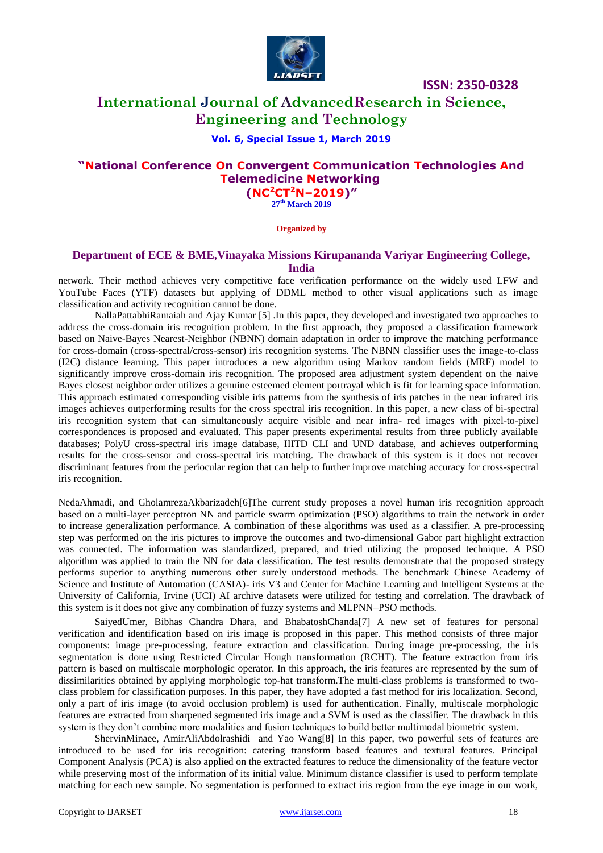

# **International Journal of AdvancedResearch in Science, Engineering and Technology**

#### **Vol. 6, Special Issue 1, March 2019**

# **"National Conference On Convergent Communication Technologies And Telemedicine Networking**

**(NC<sup>2</sup>CT<sup>2</sup>N–2019)" 27 th March 2019**

**Organized by**

#### **Department of ECE & BME,Vinayaka Missions Kirupananda Variyar Engineering College, India**

network. Their method achieves very competitive face verification performance on the widely used LFW and YouTube Faces (YTF) datasets but applying of DDML method to other visual applications such as image classification and activity recognition cannot be done.

NallaPattabhiRamaiah and Ajay Kumar [5] .In this paper, they developed and investigated two approaches to address the cross-domain iris recognition problem. In the first approach, they proposed a classification framework based on Naive-Bayes Nearest-Neighbor (NBNN) domain adaptation in order to improve the matching performance for cross-domain (cross-spectral/cross-sensor) iris recognition systems. The NBNN classifier uses the image-to-class (I2C) distance learning. This paper introduces a new algorithm using Markov random fields (MRF) model to significantly improve cross-domain iris recognition. The proposed area adjustment system dependent on the naive Bayes closest neighbor order utilizes a genuine esteemed element portrayal which is fit for learning space information. This approach estimated corresponding visible iris patterns from the synthesis of iris patches in the near infrared iris images achieves outperforming results for the cross spectral iris recognition. In this paper, a new class of bi-spectral iris recognition system that can simultaneously acquire visible and near infra- red images with pixel-to-pixel correspondences is proposed and evaluated. This paper presents experimental results from three publicly available databases; PolyU cross-spectral iris image database, IIITD CLI and UND database, and achieves outperforming results for the cross-sensor and cross-spectral iris matching. The drawback of this system is it does not recover discriminant features from the periocular region that can help to further improve matching accuracy for cross-spectral iris recognition.

NedaAhmadi, and GholamrezaAkbarizadeh[6]The current study proposes a novel human iris recognition approach based on a multi-layer perceptron NN and particle swarm optimization (PSO) algorithms to train the network in order to increase generalization performance. A combination of these algorithms was used as a classifier. A pre-processing step was performed on the iris pictures to improve the outcomes and two-dimensional Gabor part highlight extraction was connected. The information was standardized, prepared, and tried utilizing the proposed technique. A PSO algorithm was applied to train the NN for data classification. The test results demonstrate that the proposed strategy performs superior to anything numerous other surely understood methods. The benchmark Chinese Academy of Science and Institute of Automation (CASIA)- iris V3 and Center for Machine Learning and Intelligent Systems at the University of California, Irvine (UCI) AI archive datasets were utilized for testing and correlation. The drawback of this system is it does not give any combination of fuzzy systems and MLPNN–PSO methods.

SaiyedUmer, Bibhas Chandra Dhara, and BhabatoshChanda[7] A new set of features for personal verification and identification based on iris image is proposed in this paper. This method consists of three major components: image pre-processing, feature extraction and classification. During image pre-processing, the iris segmentation is done using Restricted Circular Hough transformation (RCHT). The feature extraction from iris pattern is based on multiscale morphologic operator. In this approach, the iris features are represented by the sum of dissimilarities obtained by applying morphologic top-hat transform.The multi-class problems is transformed to twoclass problem for classification purposes. In this paper, they have adopted a fast method for iris localization. Second, only a part of iris image (to avoid occlusion problem) is used for authentication. Finally, multiscale morphologic features are extracted from sharpened segmented iris image and a SVM is used as the classifier. The drawback in this system is they don't combine more modalities and fusion techniques to build better multimodal biometric system.

ShervinMinaee, AmirAliAbdolrashidi and Yao Wang[8] In this paper, two powerful sets of features are introduced to be used for iris recognition: catering transform based features and textural features. Principal Component Analysis (PCA) is also applied on the extracted features to reduce the dimensionality of the feature vector while preserving most of the information of its initial value. Minimum distance classifier is used to perform template matching for each new sample. No segmentation is performed to extract iris region from the eye image in our work,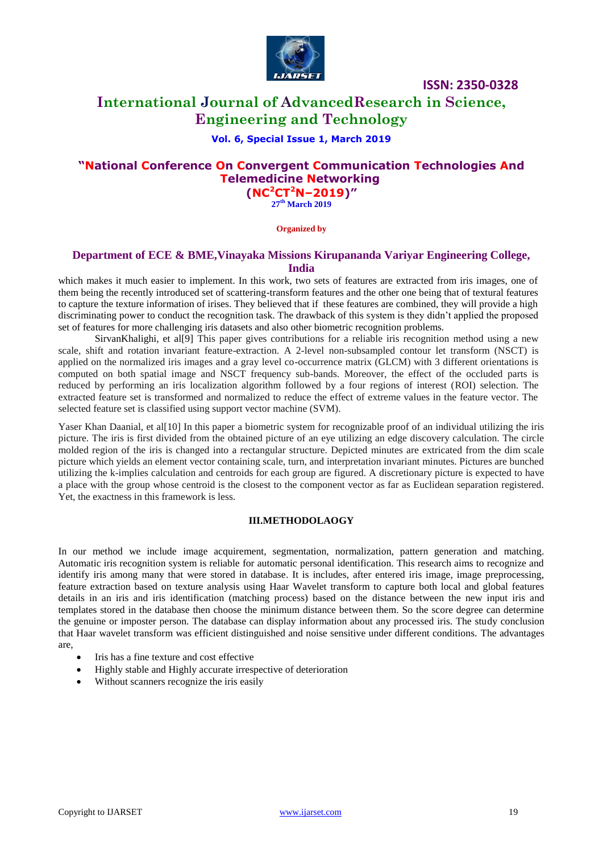

# **International Journal of AdvancedResearch in Science, Engineering and Technology**

#### **Vol. 6, Special Issue 1, March 2019**

# **"National Conference On Convergent Communication Technologies And Telemedicine Networking**

**(NC<sup>2</sup>CT<sup>2</sup>N–2019)" 27 th March 2019**

**Organized by**

#### **Department of ECE & BME,Vinayaka Missions Kirupananda Variyar Engineering College, India**

which makes it much easier to implement. In this work, two sets of features are extracted from iris images, one of them being the recently introduced set of scattering-transform features and the other one being that of textural features to capture the texture information of irises. They believed that if these features are combined, they will provide a high discriminating power to conduct the recognition task. The drawback of this system is they didn't applied the proposed set of features for more challenging iris datasets and also other biometric recognition problems.

SirvanKhalighi, et al[9] This paper gives contributions for a reliable iris recognition method using a new scale, shift and rotation invariant feature-extraction. A 2-level non-subsampled contour let transform (NSCT) is applied on the normalized iris images and a gray level co-occurrence matrix (GLCM) with 3 different orientations is computed on both spatial image and NSCT frequency sub-bands. Moreover, the effect of the occluded parts is reduced by performing an iris localization algorithm followed by a four regions of interest (ROI) selection. The extracted feature set is transformed and normalized to reduce the effect of extreme values in the feature vector. The selected feature set is classified using support vector machine (SVM).

Yaser Khan Daanial, et al<sup>[10]</sup> In this paper a biometric system for recognizable proof of an individual utilizing the iris picture. The iris is first divided from the obtained picture of an eye utilizing an edge discovery calculation. The circle molded region of the iris is changed into a rectangular structure. Depicted minutes are extricated from the dim scale picture which yields an element vector containing scale, turn, and interpretation invariant minutes. Pictures are bunched utilizing the k-implies calculation and centroids for each group are figured. A discretionary picture is expected to have a place with the group whose centroid is the closest to the component vector as far as Euclidean separation registered. Yet, the exactness in this framework is less.

#### **III.METHODOLAOGY**

In our method we include image acquirement, segmentation, normalization, pattern generation and matching. Automatic iris recognition system is reliable for automatic personal identification. This research aims to recognize and identify iris among many that were stored in database. It is includes, after entered iris image, image preprocessing, feature extraction based on texture analysis using Haar Wavelet transform to capture both local and global features details in an iris and iris identification (matching process) based on the distance between the new input iris and templates stored in the database then choose the minimum distance between them. So the score degree can determine the genuine or imposter person. The database can display information about any processed iris. The study conclusion that Haar wavelet transform was efficient distinguished and noise sensitive under different conditions. The advantages are,

- Iris has a fine texture and cost effective
- Highly stable and Highly accurate irrespective of deterioration
- Without scanners recognize the iris easily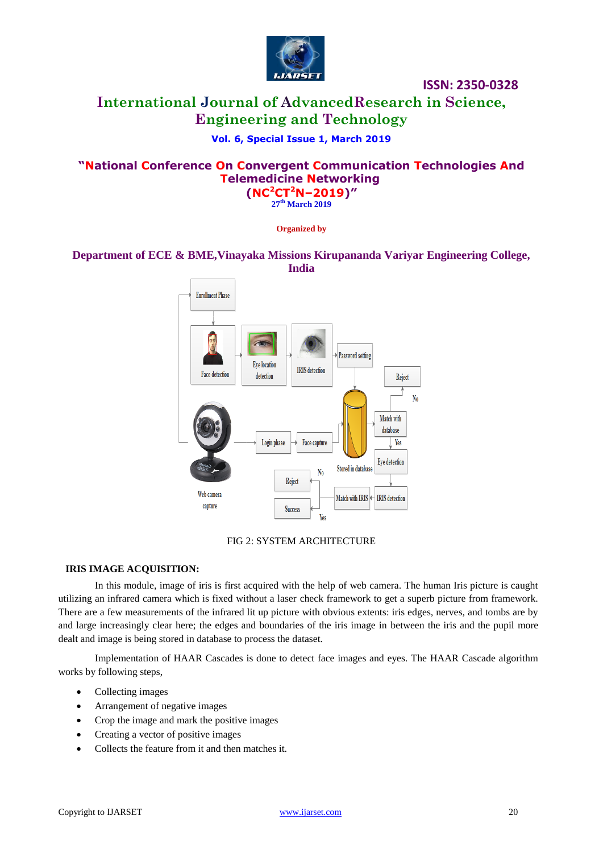

# **International Journal of AdvancedResearch in Science, Engineering and Technology**

### **Vol. 6, Special Issue 1, March 2019**

### **"National Conference On Convergent Communication Technologies And Telemedicine Networking (NC<sup>2</sup>CT<sup>2</sup>N–2019)"**

**27 th March 2019**

**Organized by**

### **Department of ECE & BME,Vinayaka Missions Kirupananda Variyar Engineering College, India**



#### FIG 2: SYSTEM ARCHITECTURE

#### **IRIS IMAGE ACQUISITION:**

In this module, image of iris is first acquired with the help of web camera. The human Iris picture is caught utilizing an infrared camera which is fixed without a laser check framework to get a superb picture from framework. There are a few measurements of the infrared lit up picture with obvious extents: iris edges, nerves, and tombs are by and large increasingly clear here; the edges and boundaries of the iris image in between the iris and the pupil more dealt and image is being stored in database to process the dataset.

Implementation of HAAR Cascades is done to detect face images and eyes. The HAAR Cascade algorithm works by following steps,

- Collecting images
- Arrangement of negative images
- Crop the image and mark the positive images
- Creating a vector of positive images
- Collects the feature from it and then matches it.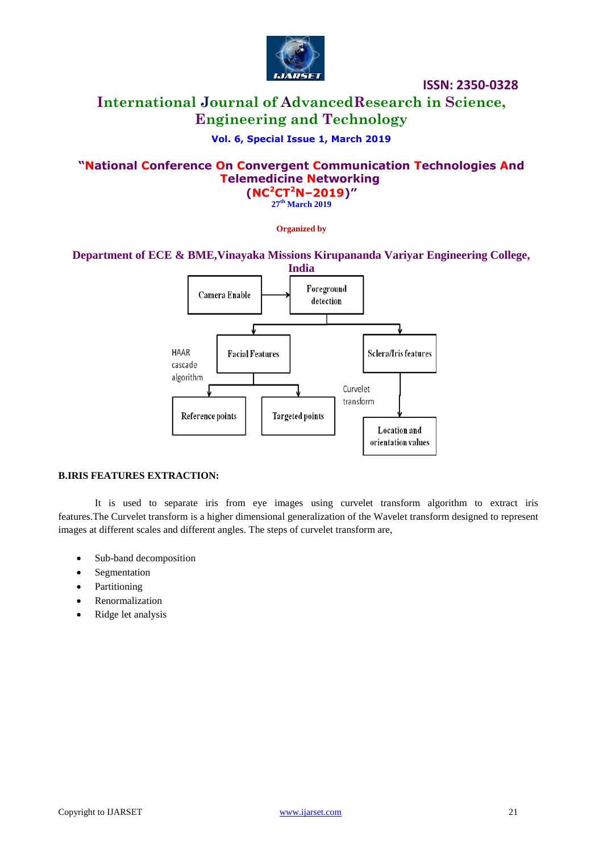

# **International Journal of AdvancedResearch in Science, Engineering and Technology**

## **Vol. 6, Special Issue 1, March 2019**

### **"National Conference On Convergent Communication Technologies And Telemedicine Networking (NC<sup>2</sup>CT<sup>2</sup>N–2019)"**

**27 th March 2019**

**Organized by**

#### **Department of ECE & BME,Vinayaka Missions Kirupananda Variyar Engineering College,**



#### **B.IRIS FEATURES EXTRACTION:**

It is used to separate iris from eye images using curvelet transform algorithm to extract iris features.The Curvelet transform is a higher dimensional generalization of the Wavelet transform designed to represent images at different scales and different angles. The steps of curvelet transform are,

- Sub-band decomposition
- Segmentation
- Partitioning
- Renormalization
- Ridge let analysis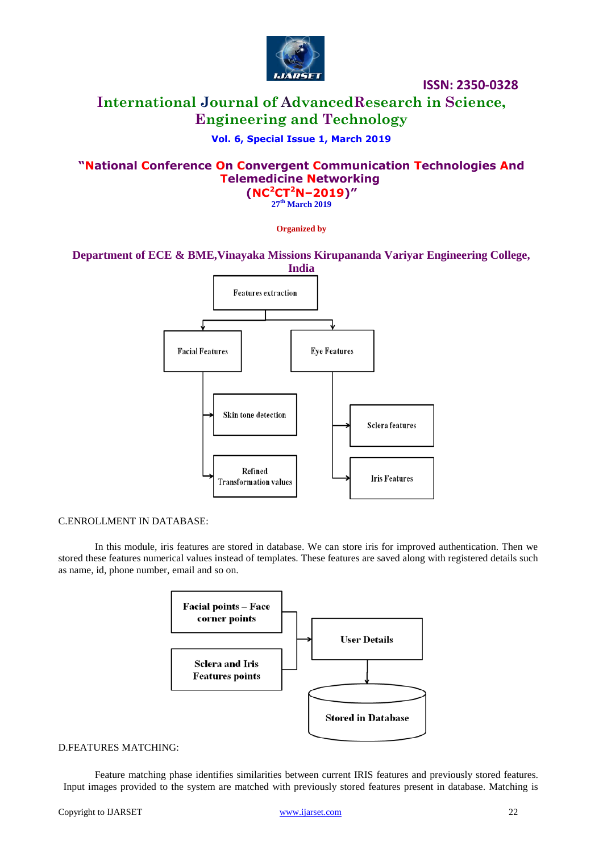

# **International Journal of AdvancedResearch in Science, Engineering and Technology**

### **Vol. 6, Special Issue 1, March 2019**

### **"National Conference On Convergent Communication Technologies And Telemedicine Networking (NC<sup>2</sup>CT<sup>2</sup>N–2019)"**

**27 th March 2019**

**Organized by**

**Department of ECE & BME,Vinayaka Missions Kirupananda Variyar Engineering College,** 



#### C.ENROLLMENT IN DATABASE:

In this module, iris features are stored in database. We can store iris for improved authentication. Then we stored these features numerical values instead of templates. These features are saved along with registered details such as name, id, phone number, email and so on.



#### D.FEATURES MATCHING:

Feature matching phase identifies similarities between current IRIS features and previously stored features. Input images provided to the system are matched with previously stored features present in database. Matching is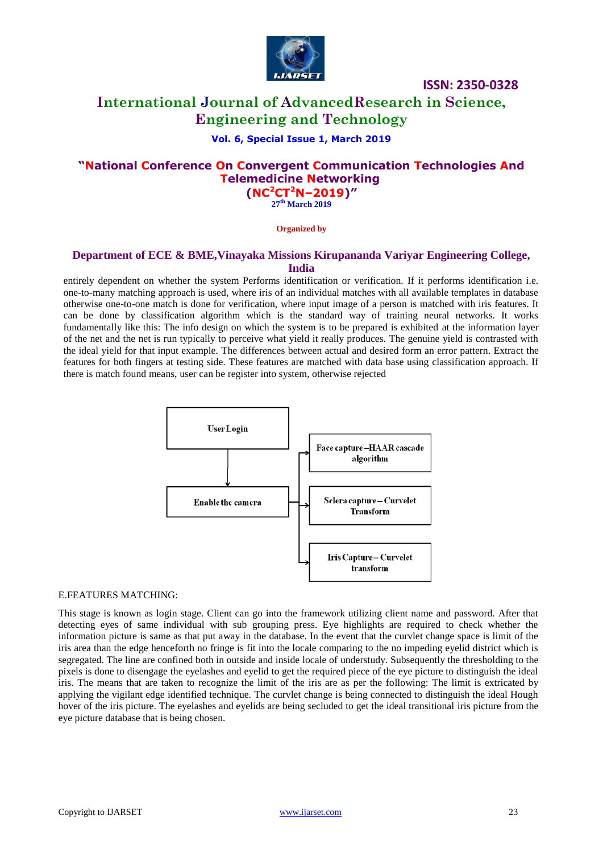

# **International Journal of AdvancedResearch in Science, Engineering and Technology**

### **Vol. 6, Special Issue 1, March 2019**

# **"National Conference On Convergent Communication Technologies And Telemedicine Networking**

**(NC<sup>2</sup>CT<sup>2</sup>N–2019)" 27 th March 2019**

**Organized by**

#### **Department of ECE & BME,Vinayaka Missions Kirupananda Variyar Engineering College, India**

entirely dependent on whether the system Performs identification or verification. If it performs identification i.e. one-to-many matching approach is used, where iris of an individual matches with all available templates in database otherwise one-to-one match is done for verification, where input image of a person is matched with iris features. It can be done by classification algorithm which is the standard way of training neural networks. It works fundamentally like this: The info design on which the system is to be prepared is exhibited at the information layer of the net and the net is run typically to perceive what yield it really produces. The genuine yield is contrasted with the ideal yield for that input example. The differences between actual and desired form an error pattern. Extract the features for both fingers at testing side. These features are matched with data base using classification approach. If there is match found means, user can be register into system, otherwise rejected



#### E.FEATURES MATCHING:

This stage is known as login stage. Client can go into the framework utilizing client name and password. After that detecting eyes of same individual with sub grouping press. Eye highlights are required to check whether the information picture is same as that put away in the database. In the event that the curvlet change space is limit of the iris area than the edge henceforth no fringe is fit into the locale comparing to the no impeding eyelid district which is segregated. The line are confined both in outside and inside locale of understudy. Subsequently the thresholding to the pixels is done to disengage the eyelashes and eyelid to get the required piece of the eye picture to distinguish the ideal iris. The means that are taken to recognize the limit of the iris are as per the following: The limit is extricated by applying the vigilant edge identified technique. The curvlet change is being connected to distinguish the ideal Hough hover of the iris picture. The eyelashes and eyelids are being secluded to get the ideal transitional iris picture from the eye picture database that is being chosen.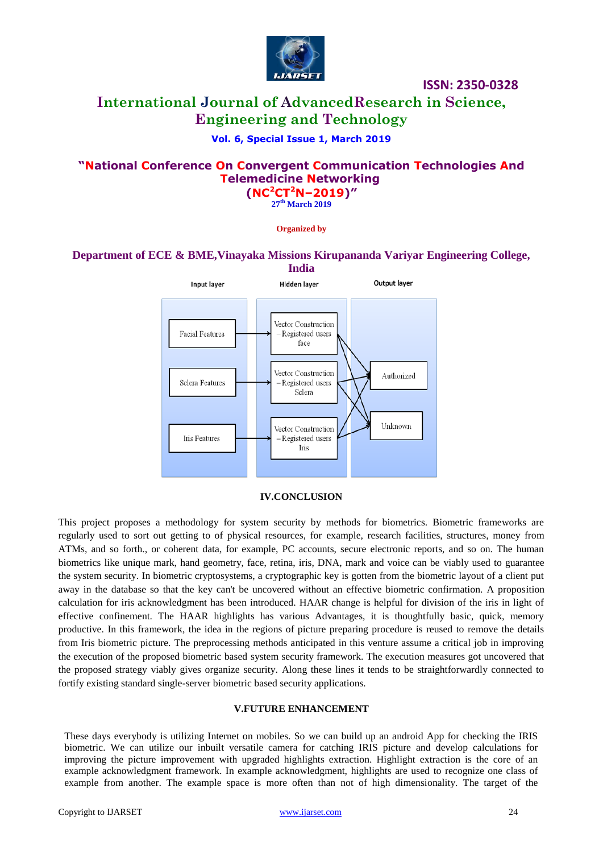

# **International Journal of AdvancedResearch in Science, Engineering and Technology**

### **Vol. 6, Special Issue 1, March 2019**

# **"National Conference On Convergent Communication Technologies And Telemedicine Networking**

**(NC<sup>2</sup>CT<sup>2</sup>N–2019)" 27 th March 2019**

#### **Organized by**

# **Department of ECE & BME,Vinayaka Missions Kirupananda Variyar Engineering College,**



#### **IV.CONCLUSION**

This project proposes a methodology for system security by methods for biometrics. Biometric frameworks are regularly used to sort out getting to of physical resources, for example, research facilities, structures, money from ATMs, and so forth., or coherent data, for example, PC accounts, secure electronic reports, and so on. The human biometrics like unique mark, hand geometry, face, retina, iris, DNA, mark and voice can be viably used to guarantee the system security. In biometric cryptosystems, a cryptographic key is gotten from the biometric layout of a client put away in the database so that the key can't be uncovered without an effective biometric confirmation. A proposition calculation for iris acknowledgment has been introduced. HAAR change is helpful for division of the iris in light of effective confinement. The HAAR highlights has various Advantages, it is thoughtfully basic, quick, memory productive. In this framework, the idea in the regions of picture preparing procedure is reused to remove the details from Iris biometric picture. The preprocessing methods anticipated in this venture assume a critical job in improving the execution of the proposed biometric based system security framework. The execution measures got uncovered that the proposed strategy viably gives organize security. Along these lines it tends to be straightforwardly connected to fortify existing standard single-server biometric based security applications.

#### **V.FUTURE ENHANCEMENT**

These days everybody is utilizing Internet on mobiles. So we can build up an android App for checking the IRIS biometric. We can utilize our inbuilt versatile camera for catching IRIS picture and develop calculations for improving the picture improvement with upgraded highlights extraction. Highlight extraction is the core of an example acknowledgment framework. In example acknowledgment, highlights are used to recognize one class of example from another. The example space is more often than not of high dimensionality. The target of the